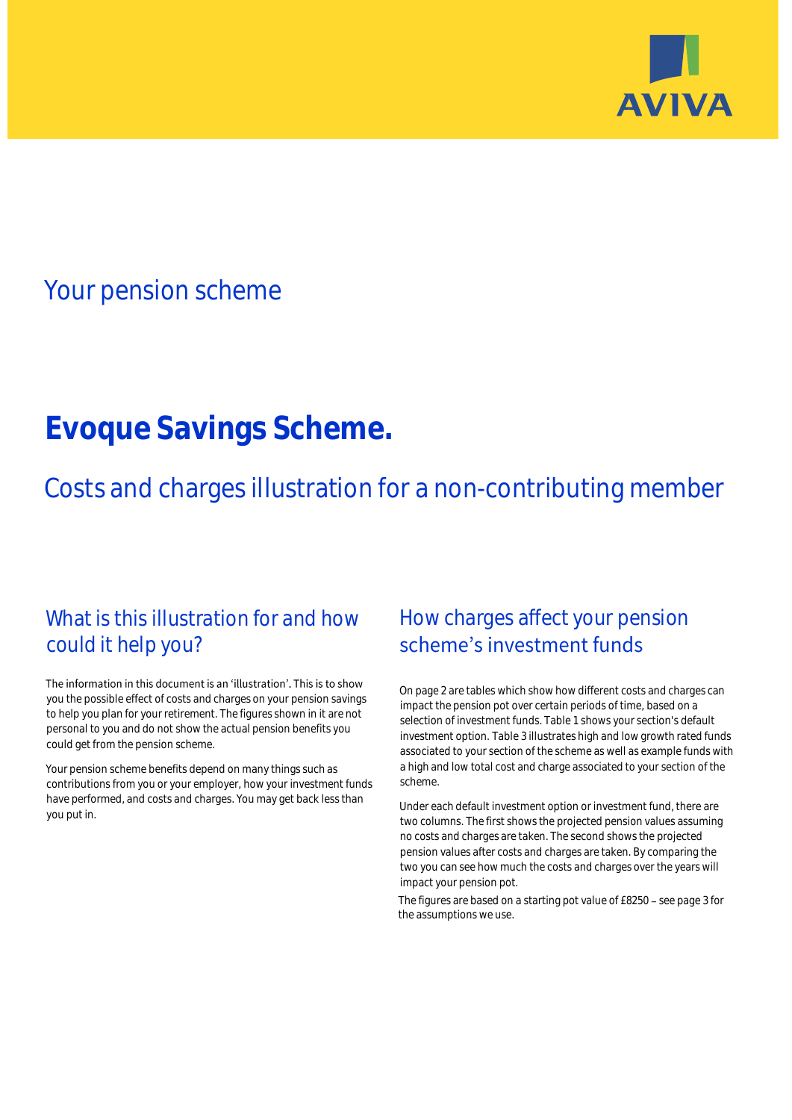

## Your pension scheme

# **Evoque Savings Scheme.**

Costs and charges illustration for a non-contributing member

### What is this illustration for and how could it help you?

#### The information in this document is an 'illustration'. This is to show you the possible effect of costs and charges on your pension savings to help you plan for your retirement. The figures shown in it are not personal to you and do not show the actual pension benefits you could get from the pension scheme.

Your pension scheme benefits depend on many things such as contributions from you or your employer, how your investment funds have performed, and costs and charges. You may get back less than you put in.

### How charges affect your pension scheme's investment funds

On page 2 are tables which show how different costs and charges can impact the pension pot over certain periods of time, based on a selection of investment funds. Table 1 shows your section's default investment option. Table 3 illustrates high and low growth rated funds associated to your section of the scheme as well as example funds with a high and low total cost and charge associated to your section of the scheme.

Under each default investment option or investment fund, there are two columns. The first shows the projected pension values assuming no costs and charges are taken. The second shows the projected pension values after costs and charges are taken. By comparing the two you can see how much the costs and charges over the years will impact your pension pot.

The figures are based on a starting pot value of £8250 - see page 3 for the assumptions we use.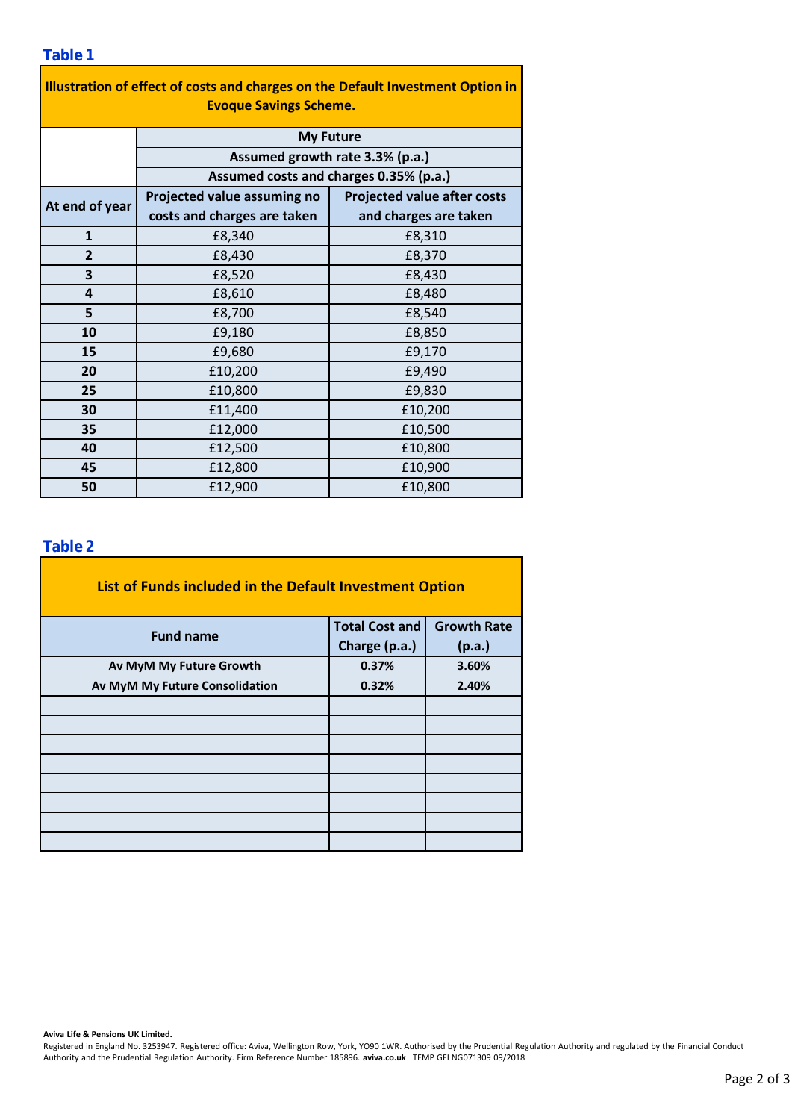| Illustration of effect of costs and charges on the Default Investment Option in |                                        |                                    |  |  |  |  |  |  |  |
|---------------------------------------------------------------------------------|----------------------------------------|------------------------------------|--|--|--|--|--|--|--|
| <b>Evoque Savings Scheme.</b>                                                   |                                        |                                    |  |  |  |  |  |  |  |
|                                                                                 | <b>My Future</b>                       |                                    |  |  |  |  |  |  |  |
|                                                                                 | Assumed growth rate 3.3% (p.a.)        |                                    |  |  |  |  |  |  |  |
|                                                                                 | Assumed costs and charges 0.35% (p.a.) |                                    |  |  |  |  |  |  |  |
| At end of year                                                                  | Projected value assuming no            | <b>Projected value after costs</b> |  |  |  |  |  |  |  |
|                                                                                 | costs and charges are taken            | and charges are taken              |  |  |  |  |  |  |  |
| $\mathbf{1}$                                                                    | £8,340                                 | £8,310                             |  |  |  |  |  |  |  |
| $\overline{2}$                                                                  | £8,430                                 | £8,370                             |  |  |  |  |  |  |  |
| 3                                                                               | £8,520                                 | £8,430                             |  |  |  |  |  |  |  |
| 4                                                                               | £8,610                                 | £8,480                             |  |  |  |  |  |  |  |
| 5                                                                               | £8,700                                 | £8,540                             |  |  |  |  |  |  |  |
| 10                                                                              | £9,180                                 | £8,850                             |  |  |  |  |  |  |  |
| 15                                                                              | £9,680                                 | £9,170                             |  |  |  |  |  |  |  |
| 20                                                                              | £10,200                                | £9,490                             |  |  |  |  |  |  |  |
| 25                                                                              | £10,800                                | £9,830                             |  |  |  |  |  |  |  |
| 30                                                                              | £11,400                                | £10,200                            |  |  |  |  |  |  |  |
| 35                                                                              | £12,000                                | £10,500                            |  |  |  |  |  |  |  |
| 40                                                                              | £12,500                                | £10,800                            |  |  |  |  |  |  |  |
| 45                                                                              | £12,800                                | £10,900                            |  |  |  |  |  |  |  |
| 50                                                                              | £12,900                                | £10,800                            |  |  |  |  |  |  |  |

÷,

#### **Table 2**

| List of Funds included in the Default Investment Option |                       |                    |  |  |  |  |  |  |
|---------------------------------------------------------|-----------------------|--------------------|--|--|--|--|--|--|
| <b>Fund name</b>                                        | <b>Total Cost and</b> | <b>Growth Rate</b> |  |  |  |  |  |  |
|                                                         | Charge (p.a.)         | (p.a.)             |  |  |  |  |  |  |
| Av MyM My Future Growth                                 | 0.37%                 | 3.60%              |  |  |  |  |  |  |
| Av MyM My Future Consolidation                          | 0.32%                 | 2.40%              |  |  |  |  |  |  |
|                                                         |                       |                    |  |  |  |  |  |  |
|                                                         |                       |                    |  |  |  |  |  |  |
|                                                         |                       |                    |  |  |  |  |  |  |
|                                                         |                       |                    |  |  |  |  |  |  |
|                                                         |                       |                    |  |  |  |  |  |  |
|                                                         |                       |                    |  |  |  |  |  |  |
|                                                         |                       |                    |  |  |  |  |  |  |
|                                                         |                       |                    |  |  |  |  |  |  |

**Aviva Life & Pensions UK Limited.**

Registered in England No. 3253947. Registered office: Aviva, Wellington Row, York, YO90 1WR. Authorised by the Prudential Regulation Authority and regulated by the Financial Conduct Authority and the Prudential Regulation Authority. Firm Reference Number 185896. **aviva.co.uk** TEMP GFI NG071309 09/2018